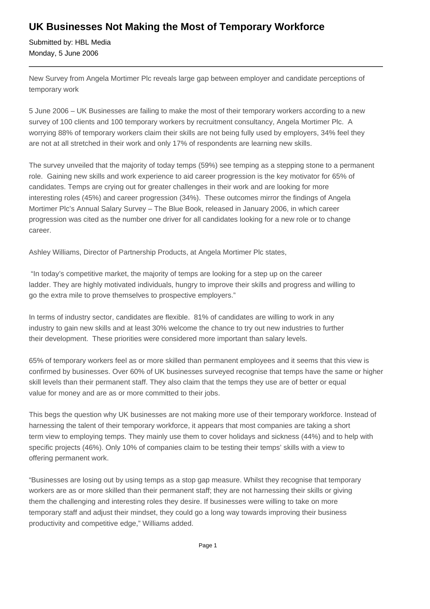## **UK Businesses Not Making the Most of Temporary Workforce**

Submitted by: HBL Media Monday, 5 June 2006

New Survey from Angela Mortimer Plc reveals large gap between employer and candidate perceptions of temporary work

5 June 2006 – UK Businesses are failing to make the most of their temporary workers according to a new survey of 100 clients and 100 temporary workers by recruitment consultancy, Angela Mortimer Plc. A worrying 88% of temporary workers claim their skills are not being fully used by employers, 34% feel they are not at all stretched in their work and only 17% of respondents are learning new skills.

The survey unveiled that the majority of today temps (59%) see temping as a stepping stone to a permanent role. Gaining new skills and work experience to aid career progression is the key motivator for 65% of candidates. Temps are crying out for greater challenges in their work and are looking for more interesting roles (45%) and career progression (34%). These outcomes mirror the findings of Angela Mortimer Plc's Annual Salary Survey – The Blue Book, released in January 2006, in which career progression was cited as the number one driver for all candidates looking for a new role or to change career.

Ashley Williams, Director of Partnership Products, at Angela Mortimer Plc states,

 "In today's competitive market, the majority of temps are looking for a step up on the career ladder. They are highly motivated individuals, hungry to improve their skills and progress and willing to go the extra mile to prove themselves to prospective employers."

In terms of industry sector, candidates are flexible. 81% of candidates are willing to work in any industry to gain new skills and at least 30% welcome the chance to try out new industries to further their development. These priorities were considered more important than salary levels.

65% of temporary workers feel as or more skilled than permanent employees and it seems that this view is confirmed by businesses. Over 60% of UK businesses surveyed recognise that temps have the same or higher skill levels than their permanent staff. They also claim that the temps they use are of better or equal value for money and are as or more committed to their jobs.

This begs the question why UK businesses are not making more use of their temporary workforce. Instead of harnessing the talent of their temporary workforce, it appears that most companies are taking a short term view to employing temps. They mainly use them to cover holidays and sickness (44%) and to help with specific projects (46%). Only 10% of companies claim to be testing their temps' skills with a view to offering permanent work.

"Businesses are losing out by using temps as a stop gap measure. Whilst they recognise that temporary workers are as or more skilled than their permanent staff; they are not harnessing their skills or giving them the challenging and interesting roles they desire. If businesses were willing to take on more temporary staff and adjust their mindset, they could go a long way towards improving their business productivity and competitive edge," Williams added.